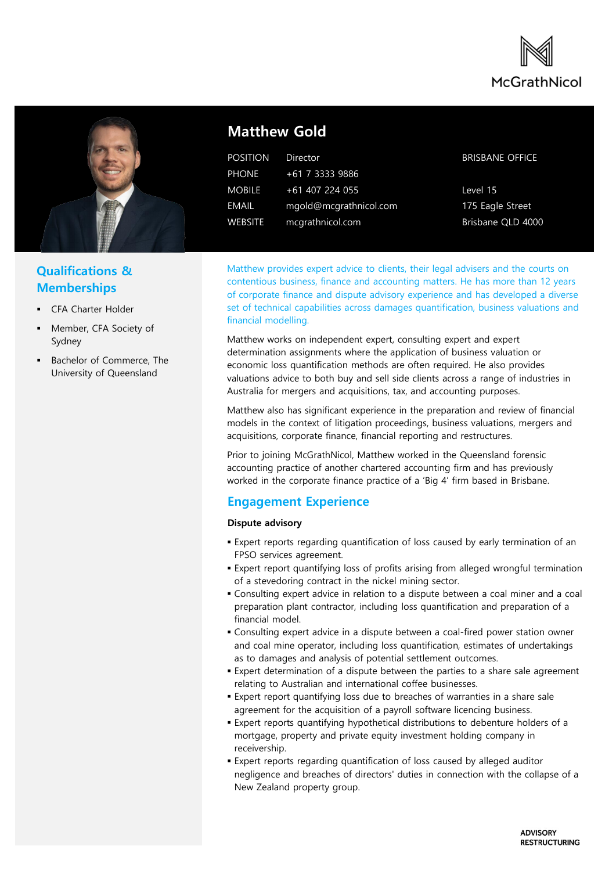



# **Qualifications & Memberships**

- CFA Charter Holder
- Member, CFA Society of Sydney
- Bachelor of Commerce, The University of Queensland

# **Matthew Gold**

| <b>POSITION</b> | Director               |
|-----------------|------------------------|
| <b>PHONE</b>    | +61 7 3333 9886        |
| <b>MOBILE</b>   | $+61$ 407 224 055      |
| EMAIL           | mgold@mcgrathnicol.com |
| <b>WEBSITE</b>  | mcgrathnicol.com       |

### BRISBANE OFFICE

Level 15 175 Eagle Street Brisbane QLD 4000

Matthew provides expert advice to clients, their legal advisers and the courts on contentious business, finance and accounting matters. He has more than 12 years of corporate finance and dispute advisory experience and has developed a diverse set of technical capabilities across damages quantification, business valuations and financial modelling.

Matthew works on independent expert, consulting expert and expert determination assignments where the application of business valuation or economic loss quantification methods are often required. He also provides valuations advice to both buy and sell side clients across a range of industries in Australia for mergers and acquisitions, tax, and accounting purposes.

Matthew also has significant experience in the preparation and review of financial models in the context of litigation proceedings, business valuations, mergers and acquisitions, corporate finance, financial reporting and restructures.

Prior to joining McGrathNicol, Matthew worked in the Queensland forensic accounting practice of another chartered accounting firm and has previously worked in the corporate finance practice of a 'Big 4' firm based in Brisbane.

## **Engagement Experience**

### **Dispute advisory**

- Expert reports regarding quantification of loss caused by early termination of an FPSO services agreement.
- **Expert report quantifying loss of profits arising from alleged wrongful termination** of a stevedoring contract in the nickel mining sector.
- Consulting expert advice in relation to a dispute between a coal miner and a coal preparation plant contractor, including loss quantification and preparation of a financial model.
- Consulting expert advice in a dispute between a coal-fired power station owner and coal mine operator, including loss quantification, estimates of undertakings as to damages and analysis of potential settlement outcomes.
- **Expert determination of a dispute between the parties to a share sale agreement** relating to Australian and international coffee businesses.
- Expert report quantifying loss due to breaches of warranties in a share sale agreement for the acquisition of a payroll software licencing business.
- Expert reports quantifying hypothetical distributions to debenture holders of a mortgage, property and private equity investment holding company in receivership.
- **Expert reports regarding quantification of loss caused by alleged auditor** negligence and breaches of directors' duties in connection with the collapse of a New Zealand property group.